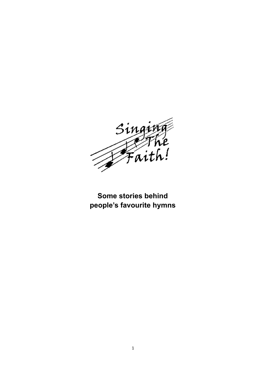

# **Some stories behind people's favourite hymns**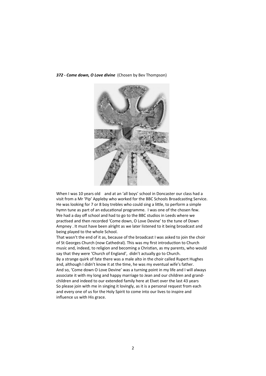#### *372 - Come down, O Love divine* (Chosen by Bev Thompson)



When I was 10 years old and at an 'all boys' school in Doncaster our class had a visit from a Mr 'Pip' Appleby who worked for the BBC Schools Broadcasting Service. He was looking for 7 or 8 boy trebles who could sing a little, to perform a simple hymn tune as part of an educational programme. I was one of the chosen few. We had a day off school and had to go to the BBC studios in Leeds where we practised and then recorded 'Come down, O Love Devine' to the tune of Down Ampney . It must have been alright as we later listened to it being broadcast and being played to the whole School.

That wasn't the end of it as, because of the broadcast I was asked to join the choir of St Georges Church (now Cathedral). This was my first introduction to Church music and, indeed, to religion and becoming a Christian, as my parents, who would say that they were 'Church of England', didn't actually go to Church. By a strange quirk of fate there was a male alto in the choir called Rupert Hughes and, although I didn't know it at the time, he was my eventual wife's father. And so, 'Come down O Love Devine' was a turning point in my life and I will always associate it with my long and happy marriage to Jean and our children and grandchildren and indeed to our extended family here at Elvet over the last 43 years So please join with me in singing it lovingly, as it is a personal request from each and every one of us for the Holy Spirit to come into our lives to inspire and influence us with His grace.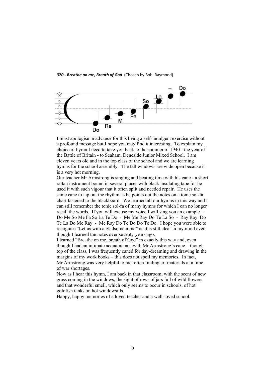

I must apologise in advance for this being a self-indulgent exercise without a profound message but I hope you may find it interesting. To explain my choice of hymn I need to take you back to the summer of 1940 - the year of the Battle of Britain - to Seaham, Deneside Junior Mixed School. I am eleven years old and in the top class of the school and we are learning hymns for the school assembly. The tall windows are wide open because it is a very hot morning.

Our teacher Mr Armstrong is singing and beating time with his cane - a short rattan instrument bound in several places with black insulating tape for he used it with such vigour that it often split and needed repair. He uses the same cane to tap out the rhythm as he points out the notes on a tonic sol-fa chart fastened to the blackboard. We learned all our hymns in this way and I can still remember the tonic sol-fa of many hymns for which I can no longer recall the words. If you will excuse my voice I will sing you an example – Do Me So Me Fa So La Te Do - Me Me Ray Do Te La So - Ray Ray Do Te La Do Me Ray - Me Ray Do Te Do Do Te Do. I hope you were able to recognise "Let us with a gladsome mind" as it is still clear in my mind even though I learned the notes over seventy years ago.

I learned "Breathe on me, breath of God" in exactly this way and, even though I had an intimate acquaintance with Mr Armstrong's cane – though top of the class, I was frequently caned for day-dreaming and drawing in the margins of my work books – this does not spoil my memories. In fact, Mr Armstrong was very helpful to me, often finding art materials at a time of war shortages.

Now as I hear this hymn, I am back in that classroom, with the scent of new grass coming in the windows, the sight of rows of jars full of wild flowers and that wonderful smell, which only seems to occur in schools, of hot goldfish tanks on hot windowsills.

Happy, happy memories of a loved teacher and a well-loved school.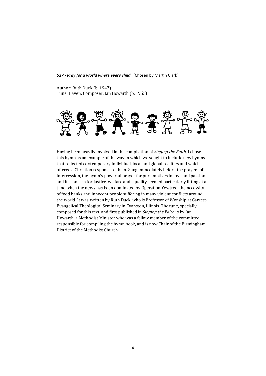### *527 - Pray for a world where every child* (Chosen by Martin Clark)

Author: Ruth Duck (b. 1947) Tune: Haven; Composer: Ian Howarth (b. 1955)



Having been heavily involved in the compilation of *Singing the Faith*, I chose this hymn as an example of the way in which we sought to include new hymns that reflected contemporary individual, local and global realities and which offered a Christian response to them. Sung immediately before the prayers of intercession, the hymn's powerful prayer for pure motives in love and passion and its concern for justice, welfare and equality seemed particularly fitting at a time when the news has been dominated by Operation Yewtree, the necessity of food banks and innocent people suffering in many violent conflicts around the world. It was written by Ruth Duck, who is Professor of Worship at Garrett-Evangelical Theological Seminary in Evanston, Illinois. The tune, specially composed for this text, and first published in *Singing the Faith* is by Ian Howarth, a Methodist Minister who was a fellow member of the committee responsible for compiling the hymn book, and is now Chair of the Birmingham District of the Methodist Church.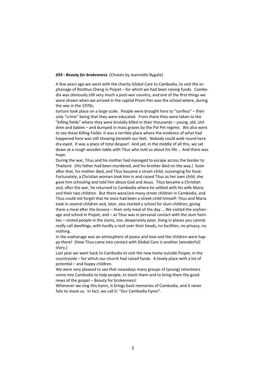## *693 - Beauty for brokenness* (Chosen by Jeannette Bygate)

A few years ago we went with the charity Global Care to Cambodia, to visit the orphanage of Rostitus Cheng in Poipet – for which we had been raising funds. Cambodia was obviously still very much a post-war country, and one of the first things we were shown when we arrived in the capital Pnom Pen was the school where, during the war in the 1970s,

torture took place on a large scale. People were brought here to "confess" – their only "crime" being that they were educated. From there they were taken to the "killing fields" where they were brutally killed in their thousands – young, old, children and babies – and dumped in mass graves by the Pol Pet regime. We also went to see these Killing Fields: it was a terrible place where the evidence of what had happened here was still showing beneath our feet. Nobody could walk round here dry-eyed. It was a place of total despair! And yet, in the middle of all this, we sat down at a rough wooden table with Titus who told us about his life … And there was hope.

During the war, Titus and his mother had managed to escape across the border to Thailand. (His father had been murdered, and his brother died on the way.) Soon after that, his mother died, and Titus became a street-child, scavenging for food. Fortunately, a Christian woman took him in and raised Titus as her own child; she gave him schooling and told him about God and Jesus. Titus became a Christian and, after the war, he returned to Cambodia where he settled with his wife Maria and their two children. But there were/are many street children in Cambodia, and Titus could not forget that he once had been a street-child himself: Titus and Maria took in several children and, later, also started a school for slum children, giving them a meal after the lessons – their only meal of the day … We visited the orphanage and school in Poipet, and – as Titus was in personal contact with the slum families – visited people in the slums, too: desperately poor, living in places you cannot really call dwellings, with hardly a roof over their heads, no facilities, no privacy, no nothing.

In the orphanage was an atmosphere of peace and love and the children were happy there! (How Titus came into contact with Global Care is another [wonderful] story.)

Last year we went back to Cambodia to visit the new home outside Poipet, in the countryside – for which our church had raised funds. A lovely place with a lot of potential – and happy children.

We were very pleased to see that nowadays many groups of (young) volunteers come into Cambodia to help people, to teach them and to bring them the good news of the gospel – Beauty for brokenness!

Whenever we sing this hymn, it brings back memories of Cambodia, and it never fails to move us. In fact, we call it: "Our Cambodia hymn".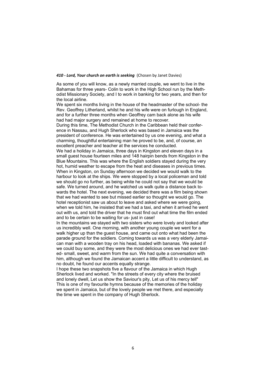## *410 - Lord, Your church on earth is seeking* (Chosen by Janet Davies)

As some of you will know, as a newly married couple, we went to live in the Bahamas for three years- Colin to work in the High School run by the Methodist Missionary Society, and I to work in banking for two years, and then for the local airline.

We spent six months living in the house of the headmaster of the school- the Rev. Geoffrey Litherland, whilst he and his wife were on furlough in England, and for a further three months when Geoffrey cam back alone as his wife had had major surgery and remained at home to recover.

During this time, The Methodist Church in the Caribbean held their conference in Nassau, and Hugh Sherlock who was based in Jamaica was the president of conference. He was entertained by us one evening, and what a charming, thoughtful entertaining man he proved to be, and, of course, an excellent preacher and teacher at the services he conducted.

We had a holiday in Jamaica, three days in Kingston and eleven days in a small guest house fourteen miles and 148 hairpin bends from Kingston in the Blue Mountains. This was where the English soldiers stayed during the very hot, humid weather to escape from the heat and diseases in previous times. When in Kingston, on Sunday afternoon we decided we would walk to the harbour to look at the ships. We were stopped by a local policeman and told we should go no further, as being white he could not say that we would be safe. We turned around, and he watched us walk quite a distance back towards the hotel. The next evening, we decided there was a film being shown that we had wanted to see but missed earlier so thought we would go. The hotel receptionist saw us about to leave and asked where we were going, when we told him, he insisted that we had a taxi, and when it arrived he went out with us, and told the driver that he must find out what time the film ended and to be certain to be waiting for us- just in case!

In the mountains we stayed with two sisters who were lovely and looked after us incredibly well. One morning, with another young couple we went for a walk higher up than the guest house, and came out onto what had been the parade ground for the soldiers. Coming towards us was a very elderly Jamaican man with a wooden tray on his head, loaded with bananas. We asked if we could buy some, and they were the most delicious ones we had ever tasted- small, sweet, and warm from the sun. We had quite a conversation with him, although we found the Jamaican accent a little difficult to understand, as no doubt, he found our accents equally strange.

I hope these two snapshots five a flavour of the Jamaica in which Hugh Sherlock lived and worked. "In the streets of every city where the bruised and lonely dwell, Let us show the Saviour's pity, Let us of his mercy tell" This is one of my favourite hymns because of the memories of the holiday we spent in Jamaica, but of the lovely people we met there, and especially the time we spent in the company of Hugh Sherlock.